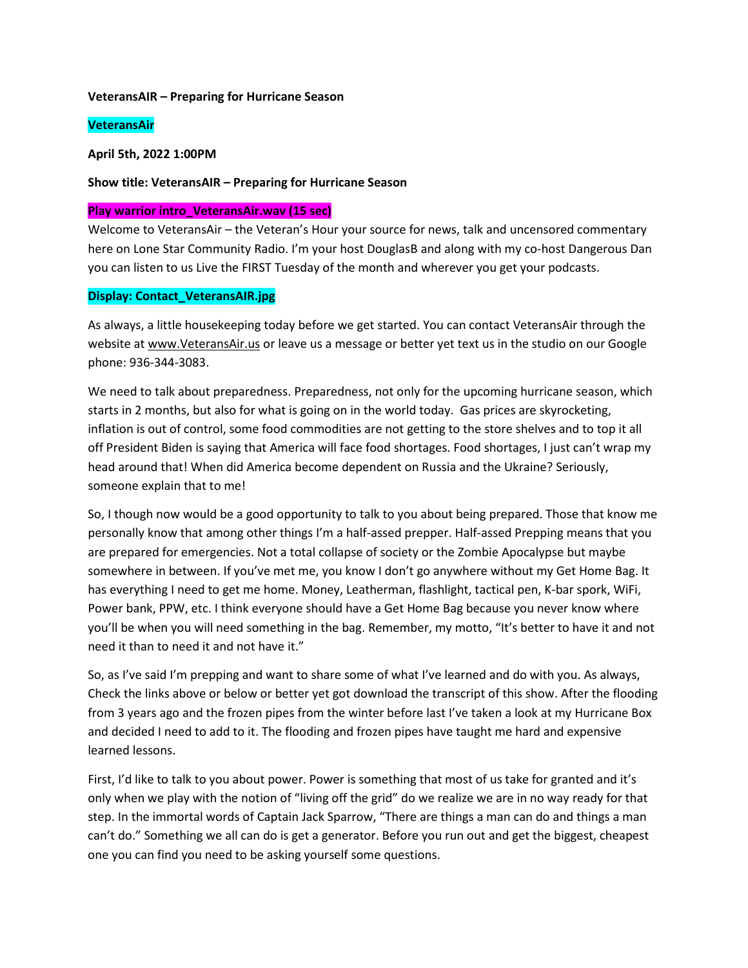#### **VeteransAIR – Preparing for Hurricane Season**

## **VeteransAir**

#### **April 5th, 2022 1:00PM**

#### **Show title: VeteransAIR – Preparing for Hurricane Season**

### **Play warrior intro\_VeteransAir.wav (15 sec)**

Welcome to VeteransAir – the Veteran's Hour your source for news, talk and uncensored commentary here on Lone Star Community Radio. I'm your host DouglasB and along with my co-host Dangerous Dan you can listen to us Live the FIRST Tuesday of the month and wherever you get your podcasts.

## **Display: Contact\_VeteransAIR.jpg**

As always, a little housekeeping today before we get started. You can contact VeteransAir through the website at [www.VeteransAir.us](http://www.veteransair.us/) or leave us a message or better yet text us in the studio on our Google phone: 936-344-3083.

We need to talk about preparedness. Preparedness, not only for the upcoming hurricane season, which starts in 2 months, but also for what is going on in the world today. Gas prices are skyrocketing, inflation is out of control, some food commodities are not getting to the store shelves and to top it all off President Biden is saying that America will face food shortages. Food shortages, I just can't wrap my head around that! When did America become dependent on Russia and the Ukraine? Seriously, someone explain that to me!

So, I though now would be a good opportunity to talk to you about being prepared. Those that know me personally know that among other things I'm a half-assed prepper. Half-assed Prepping means that you are prepared for emergencies. Not a total collapse of society or the Zombie Apocalypse but maybe somewhere in between. If you've met me, you know I don't go anywhere without my Get Home Bag. It has everything I need to get me home. Money, Leatherman, flashlight, tactical pen, K-bar spork, WiFi, Power bank, PPW, etc. I think everyone should have a Get Home Bag because you never know where you'll be when you will need something in the bag. Remember, my motto, "It's better to have it and not need it than to need it and not have it."

So, as I've said I'm prepping and want to share some of what I've learned and do with you. As always, Check the links above or below or better yet got download the transcript of this show. After the flooding from 3 years ago and the frozen pipes from the winter before last I've taken a look at my Hurricane Box and decided I need to add to it. The flooding and frozen pipes have taught me hard and expensive learned lessons.

First, I'd like to talk to you about power. Power is something that most of us take for granted and it's only when we play with the notion of "living off the grid" do we realize we are in no way ready for that step. In the immortal words of Captain Jack Sparrow, "There are things a man can do and things a man can't do." Something we all can do is get a generator. Before you run out and get the biggest, cheapest one you can find you need to be asking yourself some questions.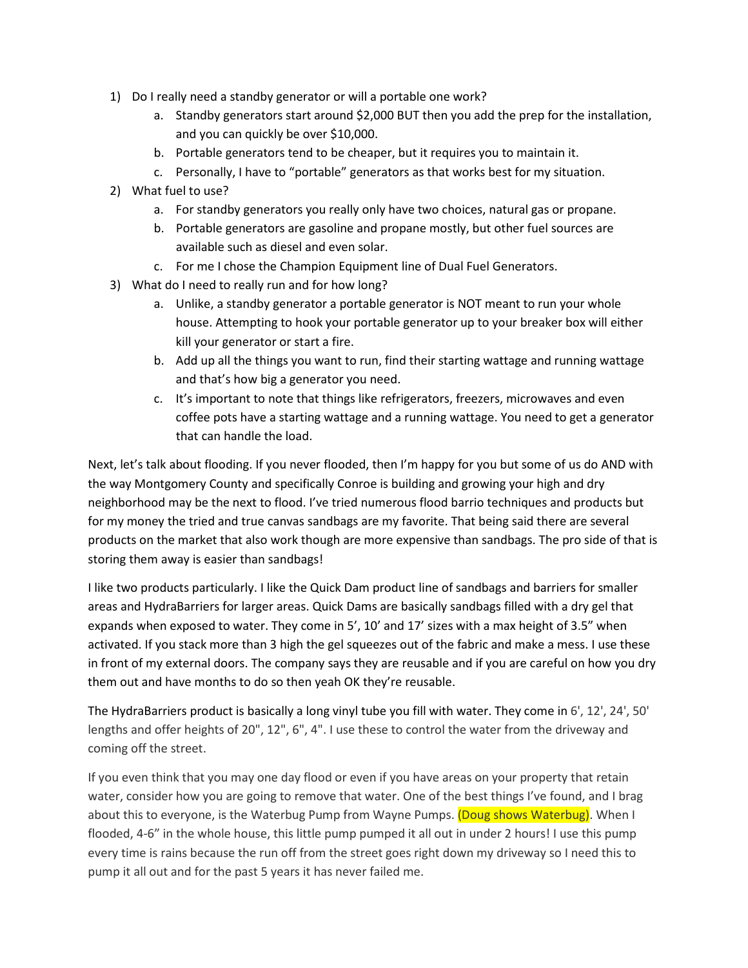- 1) Do I really need a standby generator or will a portable one work?
	- a. Standby generators start around \$2,000 BUT then you add the prep for the installation, and you can quickly be over \$10,000.
	- b. Portable generators tend to be cheaper, but it requires you to maintain it.
	- c. Personally, I have to "portable" generators as that works best for my situation.
- 2) What fuel to use?
	- a. For standby generators you really only have two choices, natural gas or propane.
	- b. Portable generators are gasoline and propane mostly, but other fuel sources are available such as diesel and even solar.
	- c. For me I chose the Champion Equipment line of Dual Fuel Generators.
- 3) What do I need to really run and for how long?
	- a. Unlike, a standby generator a portable generator is NOT meant to run your whole house. Attempting to hook your portable generator up to your breaker box will either kill your generator or start a fire.
	- b. Add up all the things you want to run, find their starting wattage and running wattage and that's how big a generator you need.
	- c. It's important to note that things like refrigerators, freezers, microwaves and even coffee pots have a starting wattage and a running wattage. You need to get a generator that can handle the load.

Next, let's talk about flooding. If you never flooded, then I'm happy for you but some of us do AND with the way Montgomery County and specifically Conroe is building and growing your high and dry neighborhood may be the next to flood. I've tried numerous flood barrio techniques and products but for my money the tried and true canvas sandbags are my favorite. That being said there are several products on the market that also work though are more expensive than sandbags. The pro side of that is storing them away is easier than sandbags!

I like two products particularly. I like the Quick Dam product line of sandbags and barriers for smaller areas and HydraBarriers for larger areas. Quick Dams are basically sandbags filled with a dry gel that expands when exposed to water. They come in 5', 10' and 17' sizes with a max height of 3.5" when activated. If you stack more than 3 high the gel squeezes out of the fabric and make a mess. I use these in front of my external doors. The company says they are reusable and if you are careful on how you dry them out and have months to do so then yeah OK they're reusable.

The HydraBarriers product is basically a long vinyl tube you fill with water. They come in 6', 12', 24', 50' lengths and offer heights of 20", 12", 6", 4". I use these to control the water from the driveway and coming off the street.

If you even think that you may one day flood or even if you have areas on your property that retain water, consider how you are going to remove that water. One of the best things I've found, and I brag about this to everyone, is the Waterbug Pump from Wayne Pumps. (Doug shows Waterbug). When I flooded, 4-6" in the whole house, this little pump pumped it all out in under 2 hours! I use this pump every time is rains because the run off from the street goes right down my driveway so I need this to pump it all out and for the past 5 years it has never failed me.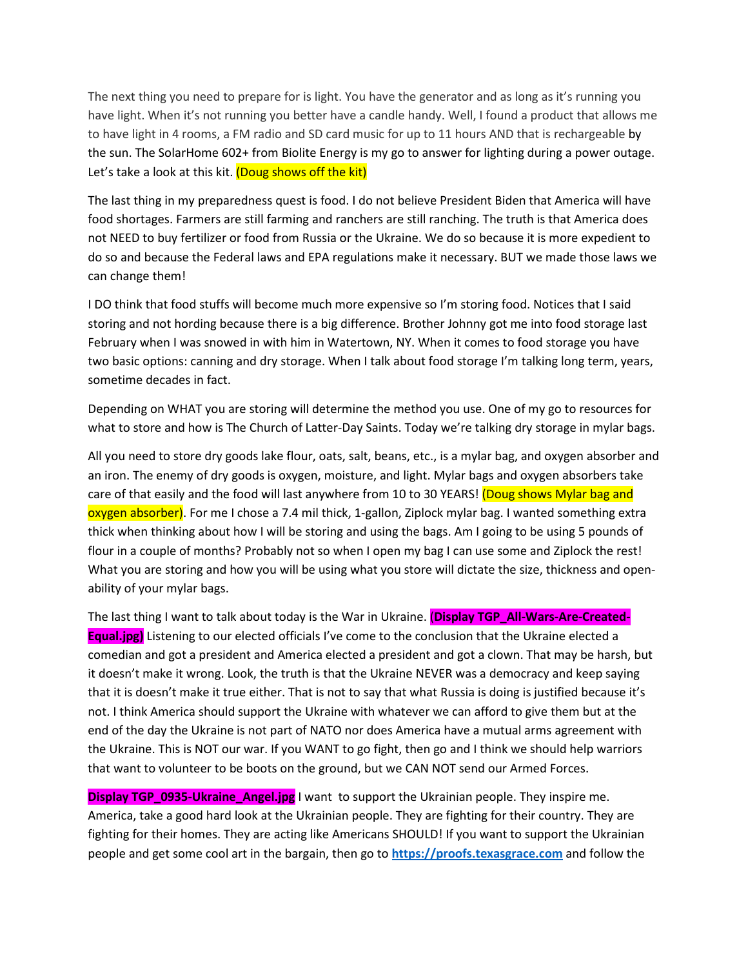The next thing you need to prepare for is light. You have the generator and as long as it's running you have light. When it's not running you better have a candle handy. Well, I found a product that allows me to have light in 4 rooms, a FM radio and SD card music for up to 11 hours AND that is rechargeable by the sun. The SolarHome 602+ from Biolite Energy is my go to answer for lighting during a power outage. Let's take a look at this kit. (Doug shows off the kit)

The last thing in my preparedness quest is food. I do not believe President Biden that America will have food shortages. Farmers are still farming and ranchers are still ranching. The truth is that America does not NEED to buy fertilizer or food from Russia or the Ukraine. We do so because it is more expedient to do so and because the Federal laws and EPA regulations make it necessary. BUT we made those laws we can change them!

I DO think that food stuffs will become much more expensive so I'm storing food. Notices that I said storing and not hording because there is a big difference. Brother Johnny got me into food storage last February when I was snowed in with him in Watertown, NY. When it comes to food storage you have two basic options: canning and dry storage. When I talk about food storage I'm talking long term, years, sometime decades in fact.

Depending on WHAT you are storing will determine the method you use. One of my go to resources for what to store and how is The Church of Latter-Day Saints. Today we're talking dry storage in mylar bags.

All you need to store dry goods lake flour, oats, salt, beans, etc., is a mylar bag, and oxygen absorber and an iron. The enemy of dry goods is oxygen, moisture, and light. Mylar bags and oxygen absorbers take care of that easily and the food will last anywhere from 10 to 30 YEARS! (Doug shows Mylar bag and oxygen absorber). For me I chose a 7.4 mil thick, 1-gallon, Ziplock mylar bag. I wanted something extra thick when thinking about how I will be storing and using the bags. Am I going to be using 5 pounds of flour in a couple of months? Probably not so when I open my bag I can use some and Ziplock the rest! What you are storing and how you will be using what you store will dictate the size, thickness and openability of your mylar bags.

The last thing I want to talk about today is the War in Ukraine. (**Display TGP\_All-Wars-Are-Created-Equal.jpg)** Listening to our elected officials I've come to the conclusion that the Ukraine elected a comedian and got a president and America elected a president and got a clown. That may be harsh, but it doesn't make it wrong. Look, the truth is that the Ukraine NEVER was a democracy and keep saying that it is doesn't make it true either. That is not to say that what Russia is doing is justified because it's not. I think America should support the Ukraine with whatever we can afford to give them but at the end of the day the Ukraine is not part of NATO nor does America have a mutual arms agreement with the Ukraine. This is NOT our war. If you WANT to go fight, then go and I think we should help warriors that want to volunteer to be boots on the ground, but we CAN NOT send our Armed Forces.

**Display TGP\_0935-Ukraine\_Angel.jpg** I want to support the Ukrainian people. They inspire me. America, take a good hard look at the Ukrainian people. They are fighting for their country. They are fighting for their homes. They are acting like Americans SHOULD! If you want to support the Ukrainian people and get some cool art in the bargain, then go to **[https://proofs.texasgrace.com](https://proofs.texasgrace.com/)** and follow the